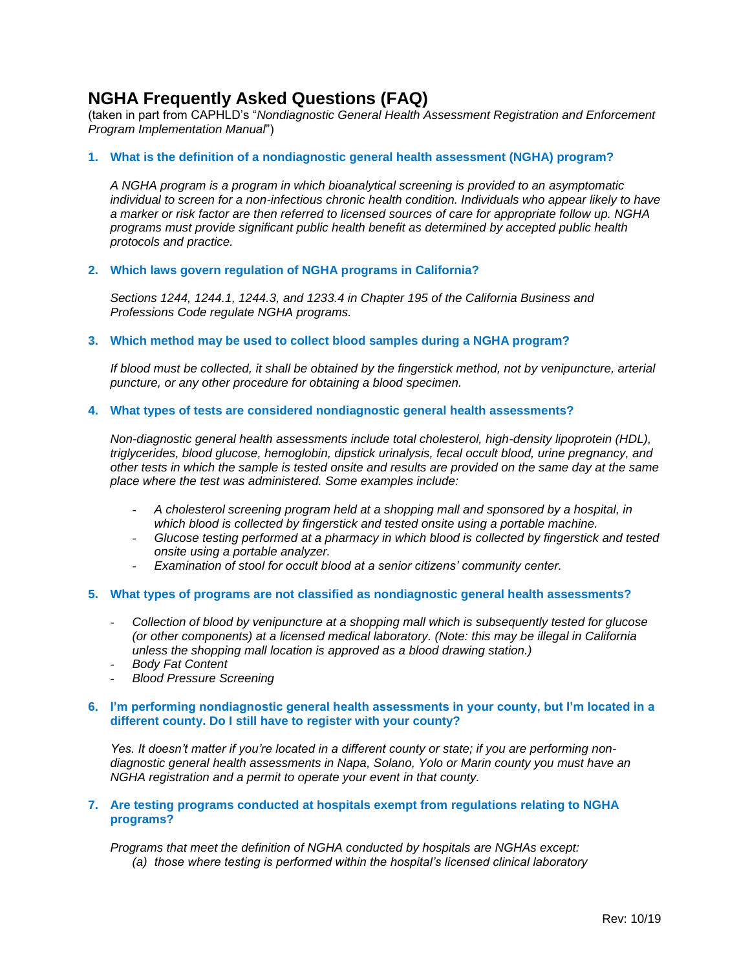# **NGHA Frequently Asked Questions (FAQ)**

(taken in part from CAPHLD's "*Nondiagnostic General Health Assessment Registration and Enforcement Program Implementation Manual*")

## **1. What is the definition of a nondiagnostic general health assessment (NGHA) program?**

*A NGHA program is a program in which bioanalytical screening is provided to an asymptomatic*  individual to screen for a non-infectious chronic health condition. Individuals who appear likely to have *a marker or risk factor are then referred to licensed sources of care for appropriate follow up. NGHA programs must provide significant public health benefit as determined by accepted public health protocols and practice.*

#### **2. Which laws govern regulation of NGHA programs in California?**

*Sections 1244, 1244.1, 1244.3, and 1233.4 in Chapter 195 of the California Business and Professions Code regulate NGHA programs.*

#### **3. Which method may be used to collect blood samples during a NGHA program?**

*If blood must be collected, it shall be obtained by the fingerstick method, not by venipuncture, arterial puncture, or any other procedure for obtaining a blood specimen.*

#### **4. What types of tests are considered nondiagnostic general health assessments?**

*Non-diagnostic general health assessments include total cholesterol, high-density lipoprotein (HDL), triglycerides, blood glucose, hemoglobin, dipstick urinalysis, fecal occult blood, urine pregnancy, and other tests in which the sample is tested onsite and results are provided on the same day at the same place where the test was administered. Some examples include:*

- *A cholesterol screening program held at a shopping mall and sponsored by a hospital, in which blood is collected by fingerstick and tested onsite using a portable machine.*
- *Glucose testing performed at a pharmacy in which blood is collected by fingerstick and tested onsite using a portable analyzer.*
- Examination of stool for occult blood at a senior citizens' community center.

#### **5. What types of programs are not classified as nondiagnostic general health assessments?**

- *Collection of blood by venipuncture at a shopping mall which is subsequently tested for glucose (or other components) at a licensed medical laboratory. (Note: this may be illegal in California unless the shopping mall location is approved as a blood drawing station.)*
- *Body Fat Content*
- *Blood Pressure Screening*

## **6. I'm performing nondiagnostic general health assessments in your county, but I'm located in a different county. Do I still have to register with your county?**

*Yes. It doesn't matter if you're located in a different county or state; if you are performing nondiagnostic general health assessments in Napa, Solano, Yolo or Marin county you must have an NGHA registration and a permit to operate your event in that county.*

#### **7. Are testing programs conducted at hospitals exempt from regulations relating to NGHA programs?**

*Programs that meet the definition of NGHA conducted by hospitals are NGHAs except: (a) those where testing is performed within the hospital's licensed clinical laboratory*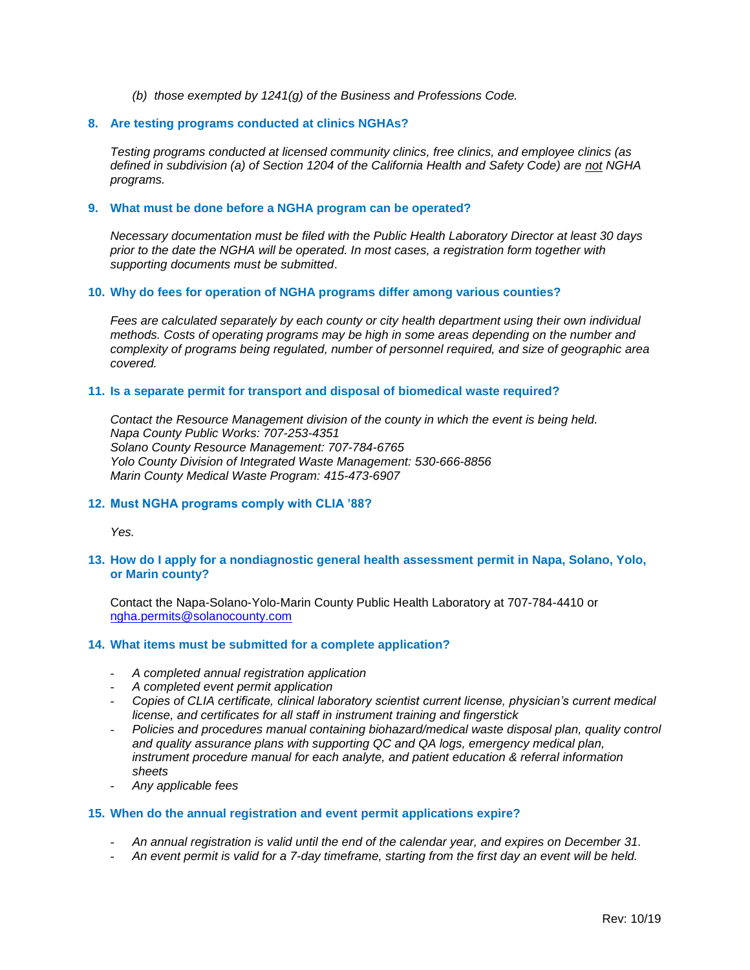*(b) those exempted by 1241(g) of the Business and Professions Code.*

#### **8. Are testing programs conducted at clinics NGHAs?**

*Testing programs conducted at licensed community clinics, free clinics, and employee clinics (as defined in subdivision (a) of Section 1204 of the California Health and Safety Code) are not NGHA programs.*

#### **9. What must be done before a NGHA program can be operated?**

*Necessary documentation must be filed with the Public Health Laboratory Director at least 30 days prior to the date the NGHA will be operated. In most cases, a registration form together with supporting documents must be submitted*.

#### **10. Why do fees for operation of NGHA programs differ among various counties?**

*Fees are calculated separately by each county or city health department using their own individual methods. Costs of operating programs may be high in some areas depending on the number and complexity of programs being regulated, number of personnel required, and size of geographic area covered.*

#### **11. Is a separate permit for transport and disposal of biomedical waste required?**

*Contact the Resource Management division of the county in which the event is being held. Napa County Public Works: 707-253-4351 Solano County Resource Management: 707-784-6765 Yolo County Division of Integrated Waste Management: 530-666-8856 Marin County Medical Waste Program: 415-473-6907*

## **12. Must NGHA programs comply with CLIA '88?**

*Yes.*

## **13. How do I apply for a nondiagnostic general health assessment permit in Napa, Solano, Yolo, or Marin county?**

Contact the Napa-Solano-Yolo-Marin County Public Health Laboratory at 707-784-4410 or [ngha.permits@solanocounty.com](mailto:ngha.permits@solanocounty.com)

#### **14. What items must be submitted for a complete application?**

- *A completed annual registration application*
- *A completed event permit application*
- *Copies of CLIA certificate, clinical laboratory scientist current license, physician's current medical license, and certificates for all staff in instrument training and fingerstick*
- *Policies and procedures manual containing biohazard/medical waste disposal plan, quality control and quality assurance plans with supporting QC and QA logs, emergency medical plan, instrument procedure manual for each analyte, and patient education & referral information sheets*
- *Any applicable fees*

## **15. When do the annual registration and event permit applications expire?**

- *An annual registration is valid until the end of the calendar year, and expires on December 31.*
- *An event permit is valid for a 7-day timeframe, starting from the first day an event will be held.*